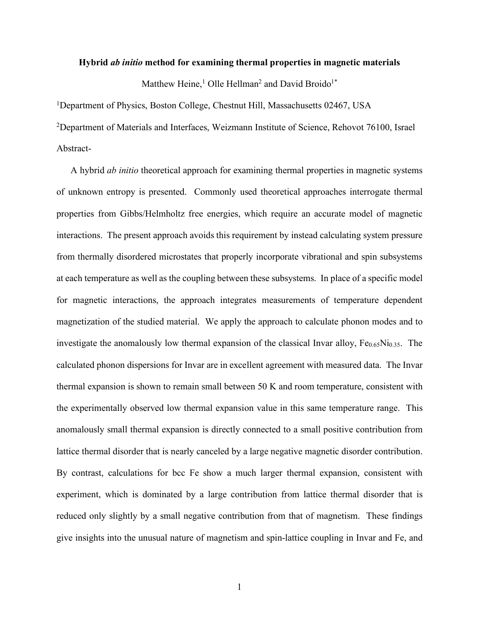#### **Hybrid** *ab initio* **method for examining thermal properties in magnetic materials**

Matthew Heine,<sup>1</sup> Olle Hellman<sup>2</sup> and David Broido<sup>1\*</sup>

1Department of Physics, Boston College, Chestnut Hill, Massachusetts 02467, USA

<sup>2</sup>Department of Materials and Interfaces, Weizmann Institute of Science, Rehovot 76100, Israel Abstract-

A hybrid *ab initio* theoretical approach for examining thermal properties in magnetic systems of unknown entropy is presented. Commonly used theoretical approaches interrogate thermal properties from Gibbs/Helmholtz free energies, which require an accurate model of magnetic interactions. The present approach avoids this requirement by instead calculating system pressure from thermally disordered microstates that properly incorporate vibrational and spin subsystems at each temperature as well as the coupling between these subsystems. In place of a specific model for magnetic interactions, the approach integrates measurements of temperature dependent magnetization of the studied material. We apply the approach to calculate phonon modes and to investigate the anomalously low thermal expansion of the classical Invar alloy,  $Fe_{0.65}Ni_{0.35}$ . The calculated phonon dispersions for Invar are in excellent agreement with measured data. The Invar thermal expansion is shown to remain small between 50 K and room temperature, consistent with the experimentally observed low thermal expansion value in this same temperature range. This anomalously small thermal expansion is directly connected to a small positive contribution from lattice thermal disorder that is nearly canceled by a large negative magnetic disorder contribution. By contrast, calculations for bcc Fe show a much larger thermal expansion, consistent with experiment, which is dominated by a large contribution from lattice thermal disorder that is reduced only slightly by a small negative contribution from that of magnetism. These findings give insights into the unusual nature of magnetism and spin-lattice coupling in Invar and Fe, and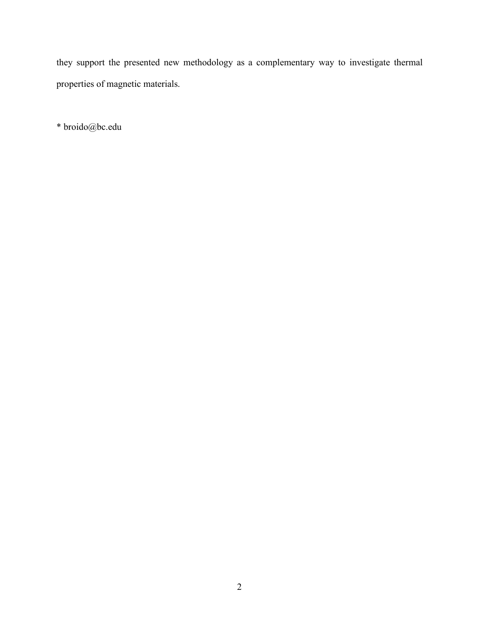they support the presented new methodology as a complementary way to investigate thermal properties of magnetic materials.

\* broido@bc.edu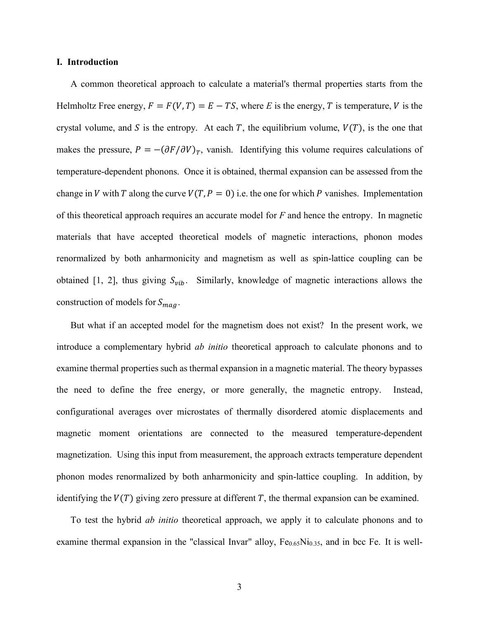## **I. Introduction**

A common theoretical approach to calculate a material's thermal properties starts from the Helmholtz Free energy,  $F = F(V, T) = E - TS$ , where *E* is the energy, *T* is temperature, *V* is the crystal volume, and S is the entropy. At each T, the equilibrium volume,  $V(T)$ , is the one that makes the pressure,  $P = -(\partial F/\partial V)_T$ , vanish. Identifying this volume requires calculations of temperature-dependent phonons. Once it is obtained, thermal expansion can be assessed from the change in V with T along the curve  $V(T, P = 0)$  i.e. the one for which P vanishes. Implementation of this theoretical approach requires an accurate model for *F* and hence the entropy. In magnetic materials that have accepted theoretical models of magnetic interactions, phonon modes renormalized by both anharmonicity and magnetism as well as spin-lattice coupling can be obtained [1, 2], thus giving  $S_{vib}$ . Similarly, knowledge of magnetic interactions allows the construction of models for  $S_{maq}$ .

But what if an accepted model for the magnetism does not exist? In the present work, we introduce a complementary hybrid *ab initio* theoretical approach to calculate phonons and to examine thermal properties such as thermal expansion in a magnetic material. The theory bypasses the need to define the free energy, or more generally, the magnetic entropy. Instead, configurational averages over microstates of thermally disordered atomic displacements and magnetic moment orientations are connected to the measured temperature-dependent magnetization. Using this input from measurement, the approach extracts temperature dependent phonon modes renormalized by both anharmonicity and spin-lattice coupling. In addition, by identifying the  $V(T)$  giving zero pressure at different T, the thermal expansion can be examined.

To test the hybrid *ab initio* theoretical approach, we apply it to calculate phonons and to examine thermal expansion in the "classical Invar" alloy,  $Fe<sub>0.65</sub>Ni<sub>0.35</sub>$ , and in bcc Fe. It is well-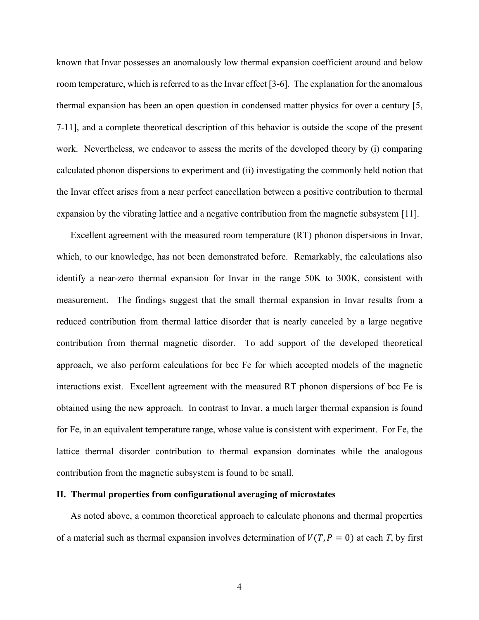known that Invar possesses an anomalously low thermal expansion coefficient around and below room temperature, which is referred to as the Invar effect [3-6]. The explanation for the anomalous thermal expansion has been an open question in condensed matter physics for over a century [5, 7-11], and a complete theoretical description of this behavior is outside the scope of the present work. Nevertheless, we endeavor to assess the merits of the developed theory by (i) comparing calculated phonon dispersions to experiment and (ii) investigating the commonly held notion that the Invar effect arises from a near perfect cancellation between a positive contribution to thermal expansion by the vibrating lattice and a negative contribution from the magnetic subsystem [11].

Excellent agreement with the measured room temperature (RT) phonon dispersions in Invar, which, to our knowledge, has not been demonstrated before. Remarkably, the calculations also identify a near-zero thermal expansion for Invar in the range 50K to 300K, consistent with measurement. The findings suggest that the small thermal expansion in Invar results from a reduced contribution from thermal lattice disorder that is nearly canceled by a large negative contribution from thermal magnetic disorder. To add support of the developed theoretical approach, we also perform calculations for bcc Fe for which accepted models of the magnetic interactions exist. Excellent agreement with the measured RT phonon dispersions of bcc Fe is obtained using the new approach. In contrast to Invar, a much larger thermal expansion is found for Fe, in an equivalent temperature range, whose value is consistent with experiment. For Fe, the lattice thermal disorder contribution to thermal expansion dominates while the analogous contribution from the magnetic subsystem is found to be small.

#### **II. Thermal properties from configurational averaging of microstates**

As noted above, a common theoretical approach to calculate phonons and thermal properties of a material such as thermal expansion involves determination of  $V(T, P = 0)$  at each *T*, by first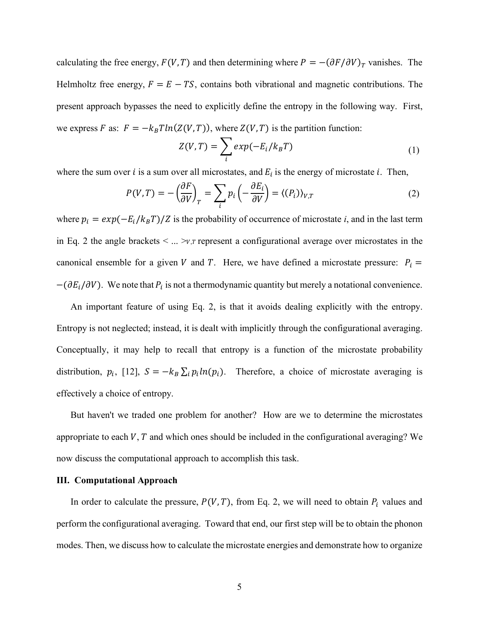calculating the free energy,  $F(V, T)$  and then determining where  $P = -(\partial F/\partial V)_T$  vanishes. The Helmholtz free energy,  $F = E - TS$ , contains both vibrational and magnetic contributions. The present approach bypasses the need to explicitly define the entropy in the following way. First, we express F as:  $F = -k_B T ln(Z(V, T))$ , where  $Z(V, T)$  is the partition function:

$$
Z(V,T) = \sum_{i} exp(-E_i/k_B T)
$$
 (1)

where the sum over  $i$  is a sum over all microstates, and  $E_i$  is the energy of microstate  $i$ . Then,

$$
P(V,T) = -\left(\frac{\partial F}{\partial V}\right)_T = \sum_i p_i \left(-\frac{\partial E_i}{\partial V}\right) = \langle (P_i) \rangle_{V,T}
$$
(2)

where  $p_i = exp(-E_i/k_B T)/Z$  is the probability of occurrence of microstate *i*, and in the last term in Eq. 2 the angle brackets  $\leq ... \geq v$ , r represent a configurational average over microstates in the canonical ensemble for a given V and T. Here, we have defined a microstate pressure:  $P_i$  =  $-(\partial E_i/\partial V)$ . We note that  $P_i$  is not a thermodynamic quantity but merely a notational convenience.

An important feature of using Eq. 2, is that it avoids dealing explicitly with the entropy. Entropy is not neglected; instead, it is dealt with implicitly through the configurational averaging. Conceptually, it may help to recall that entropy is a function of the microstate probability distribution,  $p_i$ , [12],  $S = -k_B \sum_i p_i ln(p_i)$ . Therefore, a choice of microstate averaging is effectively a choice of entropy.

But haven't we traded one problem for another? How are we to determine the microstates appropriate to each  $V$ ,  $T$  and which ones should be included in the configurational averaging? We now discuss the computational approach to accomplish this task.

# **III. Computational Approach**

In order to calculate the pressure,  $P(V, T)$ , from Eq. 2, we will need to obtain  $P_i$  values and perform the configurational averaging. Toward that end, our first step will be to obtain the phonon modes. Then, we discuss how to calculate the microstate energies and demonstrate how to organize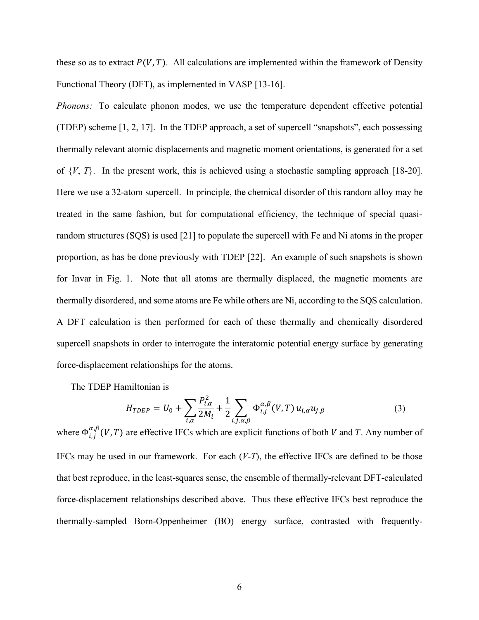these so as to extract  $P(V, T)$ . All calculations are implemented within the framework of Density Functional Theory (DFT), as implemented in VASP [13-16].

*Phonons:* To calculate phonon modes, we use the temperature dependent effective potential (TDEP) scheme [1, 2, 17]. In the TDEP approach, a set of supercell "snapshots", each possessing thermally relevant atomic displacements and magnetic moment orientations, is generated for a set of  $\{V, T\}$ . In the present work, this is achieved using a stochastic sampling approach [18-20]. Here we use a 32-atom supercell. In principle, the chemical disorder of this random alloy may be treated in the same fashion, but for computational efficiency, the technique of special quasirandom structures (SQS) is used [21] to populate the supercell with Fe and Ni atoms in the proper proportion, as has be done previously with TDEP [22]. An example of such snapshots is shown for Invar in Fig. 1. Note that all atoms are thermally displaced, the magnetic moments are thermally disordered, and some atoms are Fe while others are Ni, according to the SQS calculation. A DFT calculation is then performed for each of these thermally and chemically disordered supercell snapshots in order to interrogate the interatomic potential energy surface by generating force-displacement relationships for the atoms.

The TDEP Hamiltonian is

$$
H_{TDEP} = U_0 + \sum_{i,\alpha} \frac{P_{i,\alpha}^2}{2M_i} + \frac{1}{2} \sum_{i,j,\alpha,\beta} \Phi_{i,j}^{\alpha,\beta}(V,T) u_{i,\alpha} u_{j,\beta}
$$
(3)

where  $\Phi_{i,j}^{\alpha,\beta}(V,T)$  are effective IFCs which are explicit functions of both V and T. Any number of IFCs may be used in our framework. For each (*V*-*T*), the effective IFCs are defined to be those that best reproduce, in the least-squares sense, the ensemble of thermally-relevant DFT-calculated force-displacement relationships described above. Thus these effective IFCs best reproduce the thermally-sampled Born-Oppenheimer (BO) energy surface, contrasted with frequently-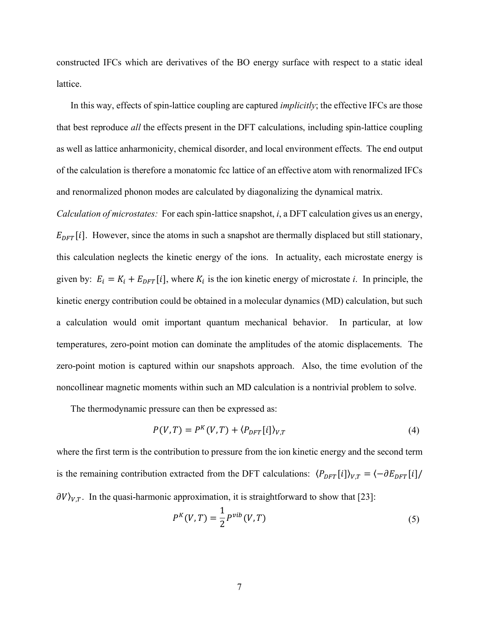constructed IFCs which are derivatives of the BO energy surface with respect to a static ideal lattice.

In this way, effects of spin-lattice coupling are captured *implicitly*; the effective IFCs are those that best reproduce *all* the effects present in the DFT calculations, including spin-lattice coupling as well as lattice anharmonicity, chemical disorder, and local environment effects. The end output of the calculation is therefore a monatomic fcc lattice of an effective atom with renormalized IFCs and renormalized phonon modes are calculated by diagonalizing the dynamical matrix.

*Calculation of microstates:* For each spin-lattice snapshot, *i*, a DFT calculation gives us an energy,  $E_{DFT}[i]$ . However, since the atoms in such a snapshot are thermally displaced but still stationary, this calculation neglects the kinetic energy of the ions. In actuality, each microstate energy is given by:  $E_i = K_i + E_{DFT}[i]$ , where  $K_i$  is the ion kinetic energy of microstate *i*. In principle, the kinetic energy contribution could be obtained in a molecular dynamics (MD) calculation, but such a calculation would omit important quantum mechanical behavior. In particular, at low temperatures, zero-point motion can dominate the amplitudes of the atomic displacements. The zero-point motion is captured within our snapshots approach. Also, the time evolution of the noncollinear magnetic moments within such an MD calculation is a nontrivial problem to solve.

The thermodynamic pressure can then be expressed as:

$$
P(V, T) = P^{K}(V, T) + \langle P_{DFT}[i] \rangle_{V, T}
$$
\n(4)

where the first term is the contribution to pressure from the ion kinetic energy and the second term is the remaining contribution extracted from the DFT calculations:  $\langle P_{DFT}[i] \rangle_{V,T} = \langle -\partial E_{DFT}[i] \rangle$  $\partial V_{V,T}$ . In the quasi-harmonic approximation, it is straightforward to show that [23]:

$$
P^{K}(V,T) = \frac{1}{2} P^{\nu ib}(V,T)
$$
\n(5)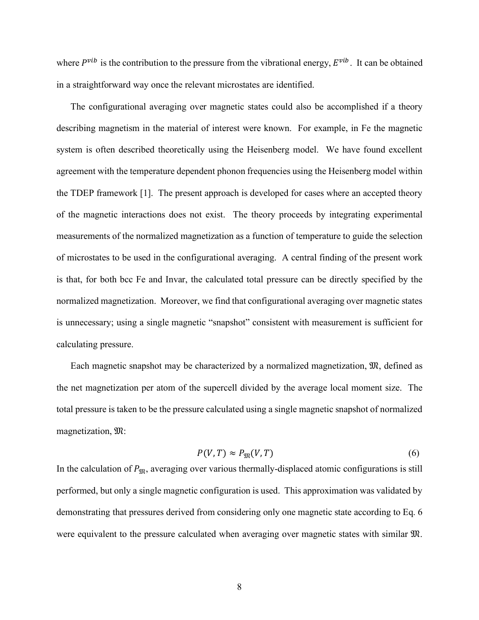where  $P^{\nu i b}$  is the contribution to the pressure from the vibrational energy,  $E^{\nu i b}$ . It can be obtained in a straightforward way once the relevant microstates are identified.

The configurational averaging over magnetic states could also be accomplished if a theory describing magnetism in the material of interest were known. For example, in Fe the magnetic system is often described theoretically using the Heisenberg model. We have found excellent agreement with the temperature dependent phonon frequencies using the Heisenberg model within the TDEP framework [1]. The present approach is developed for cases where an accepted theory of the magnetic interactions does not exist. The theory proceeds by integrating experimental measurements of the normalized magnetization as a function of temperature to guide the selection of microstates to be used in the configurational averaging. A central finding of the present work is that, for both bcc Fe and Invar, the calculated total pressure can be directly specified by the normalized magnetization. Moreover, we find that configurational averaging over magnetic states is unnecessary; using a single magnetic "snapshot" consistent with measurement is sufficient for calculating pressure.

Each magnetic snapshot may be characterized by a normalized magnetization,  $\mathfrak{M}$ , defined as the net magnetization per atom of the supercell divided by the average local moment size. The total pressure is taken to be the pressure calculated using a single magnetic snapshot of normalized magnetization,  $\mathfrak{M}$ :

$$
P(V,T) \approx P_{\mathfrak{M}}(V,T) \tag{6}
$$

In the calculation of  $P_{\text{SR}}$ , averaging over various thermally-displaced atomic configurations is still performed, but only a single magnetic configuration is used. This approximation was validated by demonstrating that pressures derived from considering only one magnetic state according to Eq. 6 were equivalent to the pressure calculated when averaging over magnetic states with similar  $\mathfrak{M}$ .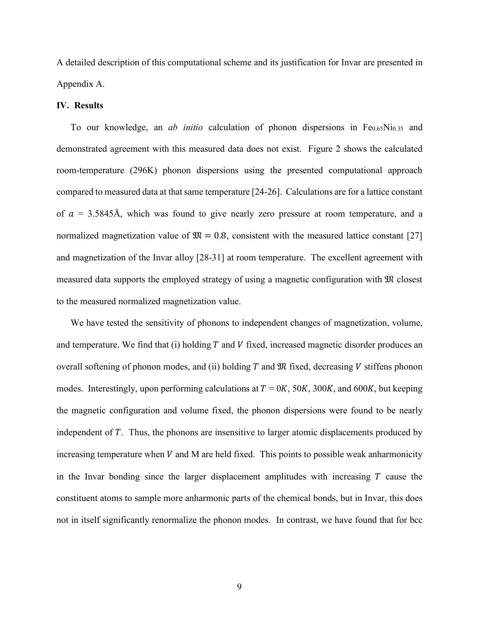A detailed description of this computational scheme and its justification for Invar are presented in Appendix A.

#### **IV. Results**

To our knowledge, an *ab initio* calculation of phonon dispersions in Fe0.65Ni0.35 and demonstrated agreement with this measured data does not exist. Figure 2 shows the calculated room-temperature (296K) phonon dispersions using the presented computational approach compared to measured data at that same temperature [24-26]. Calculations are for a lattice constant of  $a = 3.5845$ Å, which was found to give nearly zero pressure at room temperature, and a normalized magnetization value of  $\mathfrak{M} = 0.8$ , consistent with the measured lattice constant [27] and magnetization of the Invar alloy [28-31] at room temperature. The excellent agreement with measured data supports the employed strategy of using a magnetic configuration with  $\mathfrak{M}$  closest to the measured normalized magnetization value.

We have tested the sensitivity of phonons to independent changes of magnetization, volume, and temperature. We find that (i) holding  $T$  and  $V$  fixed, increased magnetic disorder produces an overall softening of phonon modes, and (ii) holding  $T$  and  $\mathfrak{M}$  fixed, decreasing  $V$  stiffens phonon modes. Interestingly, upon performing calculations at  $T = 0K$ , 50K, 300K, and 600K, but keeping the magnetic configuration and volume fixed, the phonon dispersions were found to be nearly independent of  $T$ . Thus, the phonons are insensitive to larger atomic displacements produced by increasing temperature when  $V$  and M are held fixed. This points to possible weak anharmonicity in the Invar bonding since the larger displacement amplitudes with increasing  $T$  cause the constituent atoms to sample more anharmonic parts of the chemical bonds, but in Invar, this does not in itself significantly renormalize the phonon modes. In contrast, we have found that for bcc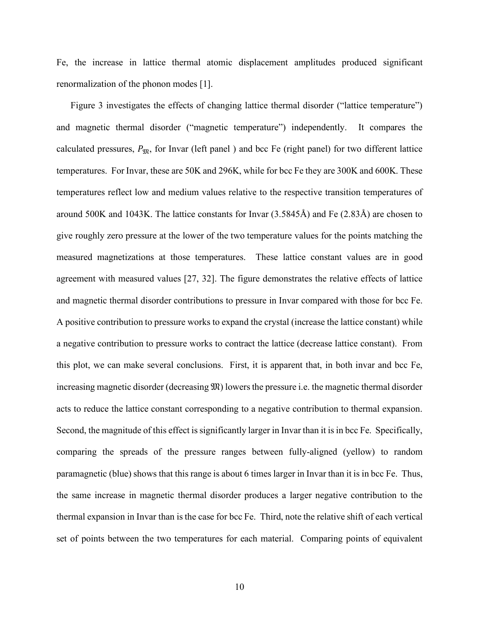Fe, the increase in lattice thermal atomic displacement amplitudes produced significant renormalization of the phonon modes [1].

Figure 3 investigates the effects of changing lattice thermal disorder ("lattice temperature") and magnetic thermal disorder ("magnetic temperature") independently. It compares the calculated pressures,  $P_{\text{m}}$ , for Invar (left panel) and bcc Fe (right panel) for two different lattice temperatures. For Invar, these are 50K and 296K, while for bcc Fe they are 300K and 600K. These temperatures reflect low and medium values relative to the respective transition temperatures of around 500K and 1043K. The lattice constants for Invar (3.5845Å) and Fe (2.83Å) are chosen to give roughly zero pressure at the lower of the two temperature values for the points matching the measured magnetizations at those temperatures. These lattice constant values are in good agreement with measured values [27, 32]. The figure demonstrates the relative effects of lattice and magnetic thermal disorder contributions to pressure in Invar compared with those for bcc Fe. A positive contribution to pressure works to expand the crystal (increase the lattice constant) while a negative contribution to pressure works to contract the lattice (decrease lattice constant). From this plot, we can make several conclusions. First, it is apparent that, in both invar and bcc Fe, increasing magnetic disorder (decreasing  $\mathfrak{M}$ ) lowers the pressure i.e. the magnetic thermal disorder acts to reduce the lattice constant corresponding to a negative contribution to thermal expansion. Second, the magnitude of this effect is significantly larger in Invar than it is in bcc Fe. Specifically, comparing the spreads of the pressure ranges between fully-aligned (yellow) to random paramagnetic (blue) shows that this range is about 6 times larger in Invar than it is in bcc Fe. Thus, the same increase in magnetic thermal disorder produces a larger negative contribution to the thermal expansion in Invar than is the case for bcc Fe. Third, note the relative shift of each vertical set of points between the two temperatures for each material. Comparing points of equivalent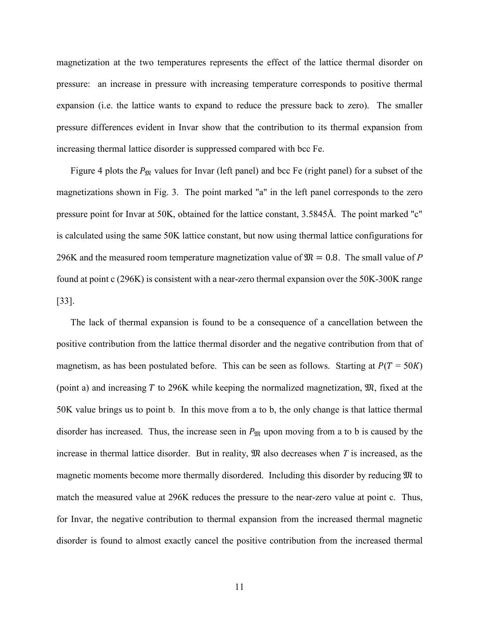magnetization at the two temperatures represents the effect of the lattice thermal disorder on pressure: an increase in pressure with increasing temperature corresponds to positive thermal expansion (i.e. the lattice wants to expand to reduce the pressure back to zero). The smaller pressure differences evident in Invar show that the contribution to its thermal expansion from increasing thermal lattice disorder is suppressed compared with bcc Fe.

Figure 4 plots the  $P_{\text{M}}$  values for Invar (left panel) and bcc Fe (right panel) for a subset of the magnetizations shown in Fig. 3. The point marked "a" in the left panel corresponds to the zero pressure point for Invar at 50K, obtained for the lattice constant, 3.5845Å. The point marked "c" is calculated using the same 50K lattice constant, but now using thermal lattice configurations for 296K and the measured room temperature magnetization value of  $\mathfrak{M} = 0.8$ . The small value of P found at point c (296K) is consistent with a near-zero thermal expansion over the 50K-300K range [33].

The lack of thermal expansion is found to be a consequence of a cancellation between the positive contribution from the lattice thermal disorder and the negative contribution from that of magnetism, as has been postulated before. This can be seen as follows. Starting at  $P(T = 50K)$ (point a) and increasing  $T$  to 296K while keeping the normalized magnetization,  $\mathfrak{M}$ , fixed at the 50K value brings us to point b. In this move from a to b, the only change is that lattice thermal disorder has increased. Thus, the increase seen in  $P_{\mathfrak{M}}$  upon moving from a to b is caused by the increase in thermal lattice disorder. But in reality,  $\mathfrak{M}$  also decreases when  $T$  is increased, as the magnetic moments become more thermally disordered. Including this disorder by reducing  $\mathfrak{M}$  to match the measured value at 296K reduces the pressure to the near-zero value at point c. Thus, for Invar, the negative contribution to thermal expansion from the increased thermal magnetic disorder is found to almost exactly cancel the positive contribution from the increased thermal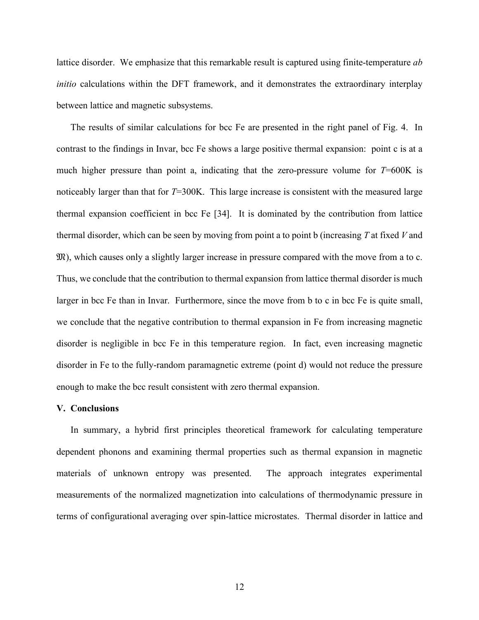lattice disorder. We emphasize that this remarkable result is captured using finite-temperature *ab initio* calculations within the DFT framework, and it demonstrates the extraordinary interplay between lattice and magnetic subsystems.

The results of similar calculations for bcc Fe are presented in the right panel of Fig. 4. In contrast to the findings in Invar, bcc Fe shows a large positive thermal expansion: point c is at a much higher pressure than point a, indicating that the zero-pressure volume for *T*=600K is noticeably larger than that for *T*=300K. This large increase is consistent with the measured large thermal expansion coefficient in bcc Fe [34]. It is dominated by the contribution from lattice thermal disorder, which can be seen by moving from point a to point b (increasing *T* at fixed *V* and ), which causes only a slightly larger increase in pressure compared with the move from a to c. Thus, we conclude that the contribution to thermal expansion from lattice thermal disorder is much larger in bcc Fe than in Invar. Furthermore, since the move from b to c in bcc Fe is quite small, we conclude that the negative contribution to thermal expansion in Fe from increasing magnetic disorder is negligible in bcc Fe in this temperature region. In fact, even increasing magnetic disorder in Fe to the fully-random paramagnetic extreme (point d) would not reduce the pressure enough to make the bcc result consistent with zero thermal expansion.

# **V. Conclusions**

In summary, a hybrid first principles theoretical framework for calculating temperature dependent phonons and examining thermal properties such as thermal expansion in magnetic materials of unknown entropy was presented. The approach integrates experimental measurements of the normalized magnetization into calculations of thermodynamic pressure in terms of configurational averaging over spin-lattice microstates. Thermal disorder in lattice and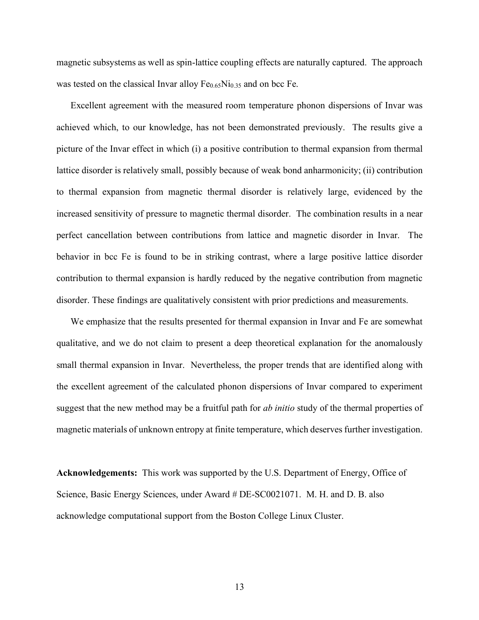magnetic subsystems as well as spin-lattice coupling effects are naturally captured. The approach was tested on the classical Invar alloy  $Fe<sub>0.65</sub>Ni<sub>0.35</sub>$  and on bcc Fe.

Excellent agreement with the measured room temperature phonon dispersions of Invar was achieved which, to our knowledge, has not been demonstrated previously. The results give a picture of the Invar effect in which (i) a positive contribution to thermal expansion from thermal lattice disorder is relatively small, possibly because of weak bond anharmonicity; (ii) contribution to thermal expansion from magnetic thermal disorder is relatively large, evidenced by the increased sensitivity of pressure to magnetic thermal disorder. The combination results in a near perfect cancellation between contributions from lattice and magnetic disorder in Invar. The behavior in bcc Fe is found to be in striking contrast, where a large positive lattice disorder contribution to thermal expansion is hardly reduced by the negative contribution from magnetic disorder. These findings are qualitatively consistent with prior predictions and measurements.

We emphasize that the results presented for thermal expansion in Invar and Fe are somewhat qualitative, and we do not claim to present a deep theoretical explanation for the anomalously small thermal expansion in Invar. Nevertheless, the proper trends that are identified along with the excellent agreement of the calculated phonon dispersions of Invar compared to experiment suggest that the new method may be a fruitful path for *ab initio* study of the thermal properties of magnetic materials of unknown entropy at finite temperature, which deserves further investigation.

**Acknowledgements:** This work was supported by the U.S. Department of Energy, Office of Science, Basic Energy Sciences, under Award # DE-SC0021071. M. H. and D. B. also acknowledge computational support from the Boston College Linux Cluster.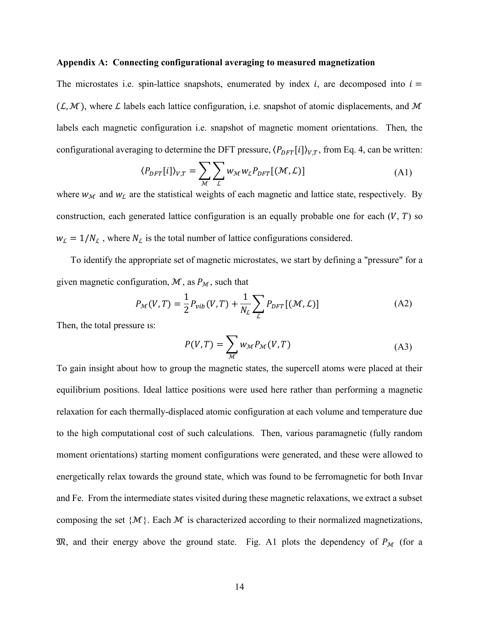## **Appendix A: Connecting configurational averaging to measured magnetization**

The microstates i.e. spin-lattice snapshots, enumerated by index *i*, are decomposed into  $i =$  $(\mathcal{L}, \mathcal{M})$ , where  $\mathcal L$  labels each lattice configuration, i.e. snapshot of atomic displacements, and  $\mathcal M$ labels each magnetic configuration i.e. snapshot of magnetic moment orientations. Then, the configurational averaging to determine the DFT pressure,  $\langle P_{DFT}[i] \rangle_{V,T}$ , from Eq. 4, can be written:

$$
\langle P_{DFT}[i] \rangle_{V,T} = \sum_{\mathcal{M}} \sum_{\mathcal{L}} w_{\mathcal{M}} w_{\mathcal{L}} P_{DFT}[(\mathcal{M}, \mathcal{L})]
$$
(A1)

where  $w_M$  and  $w_L$  are the statistical weights of each magnetic and lattice state, respectively. By construction, each generated lattice configuration is an equally probable one for each  $(V, T)$  so  $w_L = 1/N_L$ , where  $N_L$  is the total number of lattice configurations considered.

To identify the appropriate set of magnetic microstates, we start by defining a "pressure" for a given magnetic configuration,  $\mathcal{M}$ , as  $P_{\mathcal{M}}$ , such that

$$
P_{\mathcal{M}}(V,T) = \frac{1}{2} P_{vib}(V,T) + \frac{1}{N_{\mathcal{L}}} \sum_{\mathcal{L}} P_{DFT}[(\mathcal{M}, \mathcal{L})]
$$
(A2)

Then, the total pressure is:

$$
P(V,T) = \sum_{\mathcal{M}} w_{\mathcal{M}} P_{\mathcal{M}}(V,T)
$$
 (A3)

To gain insight about how to group the magnetic states, the supercell atoms were placed at their equilibrium positions. Ideal lattice positions were used here rather than performing a magnetic relaxation for each thermally-displaced atomic configuration at each volume and temperature due to the high computational cost of such calculations. Then, various paramagnetic (fully random moment orientations) starting moment configurations were generated, and these were allowed to energetically relax towards the ground state, which was found to be ferromagnetic for both Invar and Fe. From the intermediate states visited during these magnetic relaxations, we extract a subset composing the set  $\{M\}$ . Each M is characterized according to their normalized magnetizations,  $\mathfrak{M}$ , and their energy above the ground state. Fig. A1 plots the dependency of  $P_M$  (for a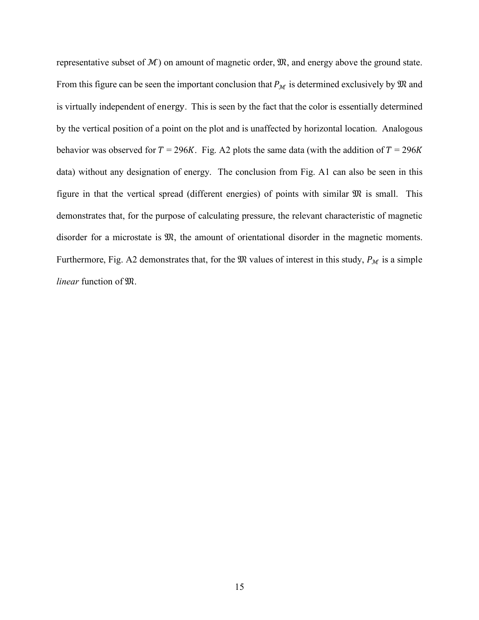representative subset of  $M$ ) on amount of magnetic order,  $\mathfrak{M}$ , and energy above the ground state. From this figure can be seen the important conclusion that  $P_M$  is determined exclusively by  $\mathfrak M$  and is virtually independent of energy. This is seen by the fact that the color is essentially determined by the vertical position of a point on the plot and is unaffected by horizontal location. Analogous behavior was observed for  $T = 296K$ . Fig. A2 plots the same data (with the addition of  $T = 296K$ data) without any designation of energy. The conclusion from Fig. A1 can also be seen in this figure in that the vertical spread (different energies) of points with similar  $\mathfrak{M}$  is small. This demonstrates that, for the purpose of calculating pressure, the relevant characteristic of magnetic disorder for a microstate is  $\mathfrak{M}$ , the amount of orientational disorder in the magnetic moments. Furthermore, Fig. A2 demonstrates that, for the  $\mathfrak{M}$  values of interest in this study,  $P_{\mathcal{M}}$  is a simple *linear* function of  $\mathfrak{M}$ .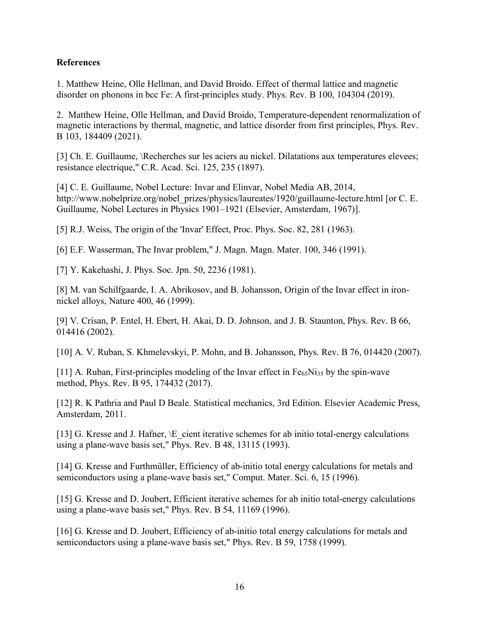# **References**

1. Matthew Heine, Olle Hellman, and David Broido. Effect of thermal lattice and magnetic disorder on phonons in bcc Fe: A first-principles study. Phys. Rev. B 100, 104304 (2019).

2. Matthew Heine, Olle Hellman, and David Broido, Temperature-dependent renormalization of magnetic interactions by thermal, magnetic, and lattice disorder from first principles, Phys. Rev. B 103, 184409 (2021).

[3] Ch. E. Guillaume, \Recherches sur les aciers au nickel. Dilatations aux temperatures elevees; resistance electrique," C.R. Acad. Sci. 125, 235 (1897).

[4] C. E. Guillaume, Nobel Lecture: Invar and Elinvar, Nobel Media AB, 2014, http://www.nobelprize.org/nobel\_prizes/physics/laureates/1920/guillaume-lecture.html [or C. E. Guillaume, Nobel Lectures in Physics 1901–1921 (Elsevier, Amsterdam, 1967)].

[5] R.J. Weiss, The origin of the 'Invar' Effect, Proc. Phys. Soc. 82, 281 (1963).

[6] E.F. Wasserman, The Invar problem," J. Magn. Magn. Mater. 100, 346 (1991).

[7] Y. Kakehashi, J. Phys. Soc. Jpn. 50, 2236 (1981).

[8] M. van Schilfgaarde, I. A. Abrikosov, and B. Johansson, Origin of the Invar effect in ironnickel alloys, Nature 400, 46 (1999).

[9] V. Crisan, P. Entel, H. Ebert, H. Akai, D. D. Johnson, and J. B. Staunton, Phys. Rev. B 66, 014416 (2002).

[10] A. V. Ruban, S. Khmelevskyi, P. Mohn, and B. Johansson, Phys. Rev. B 76, 014420 (2007).

[11] A. Ruban, First-principles modeling of the Invar effect in  $Fe<sub>65</sub>Ni<sub>35</sub>$  by the spin-wave method, Phys. Rev. B 95, 174432 (2017).

[12] R. K Pathria and Paul D Beale. Statistical mechanics, 3rd Edition. Elsevier Academic Press, Amsterdam, 2011.

[13] G. Kresse and J. Hafner, \E cient iterative schemes for ab initio total-energy calculations using a plane-wave basis set," Phys. Rev. B 48, 13115 (1993).

[14] G. Kresse and Furthmüller, Efficiency of ab-initio total energy calculations for metals and semiconductors using a plane-wave basis set," Comput. Mater. Sci. 6, 15 (1996).

[15] G. Kresse and D. Joubert, Efficient iterative schemes for ab initio total-energy calculations using a plane-wave basis set," Phys. Rev. B 54, 11169 (1996).

[16] G. Kresse and D. Joubert, Efficiency of ab-initio total energy calculations for metals and semiconductors using a plane-wave basis set," Phys. Rev. B 59, 1758 (1999).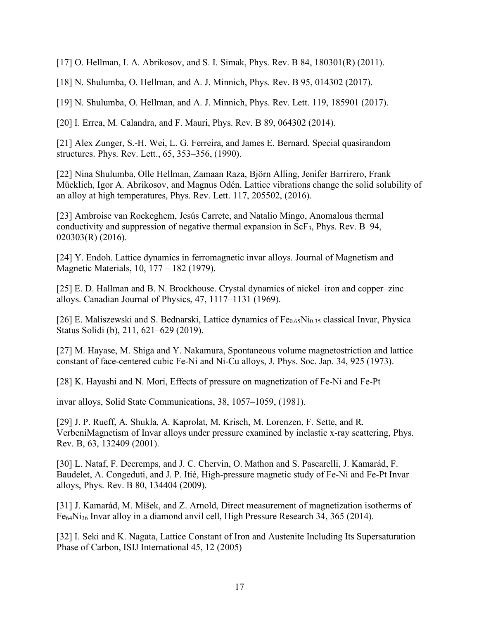[17] O. Hellman, I. A. Abrikosov, and S. I. Simak, Phys. Rev. B 84, 180301(R) (2011).

[18] N. Shulumba, O. Hellman, and A. J. Minnich, Phys. Rev. B 95, 014302 (2017).

[19] N. Shulumba, O. Hellman, and A. J. Minnich, Phys. Rev. Lett. 119, 185901 (2017).

[20] I. Errea, M. Calandra, and F. Mauri, Phys. Rev. B 89, 064302 (2014).

[21] Alex Zunger, S.-H. Wei, L. G. Ferreira, and James E. Bernard. Special quasirandom structures. Phys. Rev. Lett., 65, 353–356, (1990).

[22] Nina Shulumba, Olle Hellman, Zamaan Raza, Björn Alling, Jenifer Barrirero, Frank Mücklich, Igor A. Abrikosov, and Magnus Odén. Lattice vibrations change the solid solubility of an alloy at high temperatures, Phys. Rev. Lett. 117, 205502, (2016).

[23] Ambroise van Roekeghem, Jesús Carrete, and Natalio Mingo, Anomalous thermal conductivity and suppression of negative thermal expansion in ScF3, Phys. Rev. B 94, 020303(R) (2016).

[24] Y. Endoh. Lattice dynamics in ferromagnetic invar alloys. Journal of Magnetism and Magnetic Materials, 10, 177 – 182 (1979).

[25] E. D. Hallman and B. N. Brockhouse. Crystal dynamics of nickel–iron and copper–zinc alloys. Canadian Journal of Physics, 47, 1117–1131 (1969).

[26] E. Maliszewski and S. Bednarski, Lattice dynamics of  $Fe<sub>0.65</sub>Ni<sub>0.35</sub>$  classical Invar, Physica Status Solidi (b), 211, 621–629 (2019).

[27] M. Hayase, M. Shiga and Y. Nakamura, Spontaneous volume magnetostriction and lattice constant of face-centered cubic Fe-Ni and Ni-Cu alloys, J. Phys. Soc. Jap. 34, 925 (1973).

[28] K. Hayashi and N. Mori, Effects of pressure on magnetization of Fe-Ni and Fe-Pt

invar alloys, Solid State Communications, 38, 1057–1059, (1981).

[29] J. P. Rueff, A. Shukla, A. Kaprolat, M. Krisch, M. Lorenzen, F. Sette, and R. VerbeniMagnetism of Invar alloys under pressure examined by inelastic x-ray scattering, Phys. Rev. B, 63, 132409 (2001).

[30] L. Nataf, F. Decremps, and J. C. Chervin, O. Mathon and S. Pascarelli, J. Kamarád, F. Baudelet, A. Congeduti, and J. P. Itié, High-pressure magnetic study of Fe-Ni and Fe-Pt Invar alloys, Phys. Rev. B 80, 134404 (2009).

[31] J. Kamarád, M. Míšek, and Z. Arnold, Direct measurement of magnetization isotherms of Fe64Ni36 Invar alloy in a diamond anvil cell, High Pressure Research 34, 365 (2014).

[32] I. Seki and K. Nagata, Lattice Constant of Iron and Austenite Including Its Supersaturation Phase of Carbon, ISIJ International 45, 12 (2005)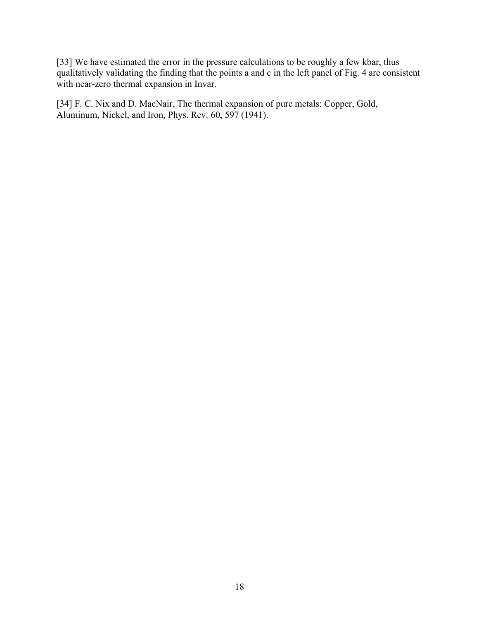[33] We have estimated the error in the pressure calculations to be roughly a few kbar, thus qualitatively validating the finding that the points a and c in the left panel of Fig. 4 are consistent with near-zero thermal expansion in Invar.

[34] F. C. Nix and D. MacNair, The thermal expansion of pure metals: Copper, Gold, Aluminum, Nickel, and Iron, Phys. Rev. 60, 597 (1941).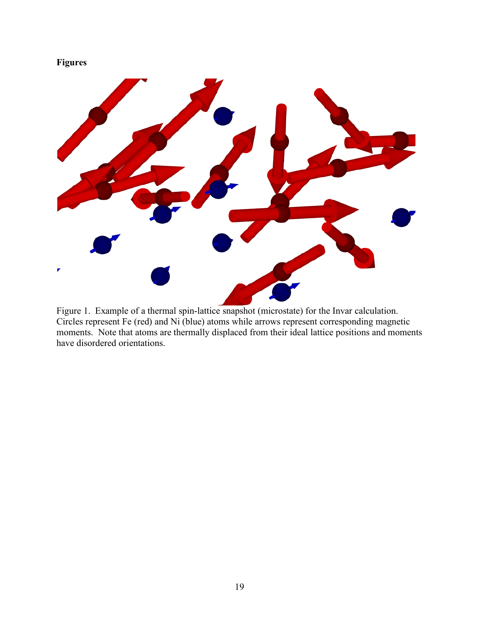# **Figures**



Figure 1. Example of a thermal spin-lattice snapshot (microstate) for the Invar calculation. Circles represent Fe (red) and Ni (blue) atoms while arrows represent corresponding magnetic moments. Note that atoms are thermally displaced from their ideal lattice positions and moments have disordered orientations.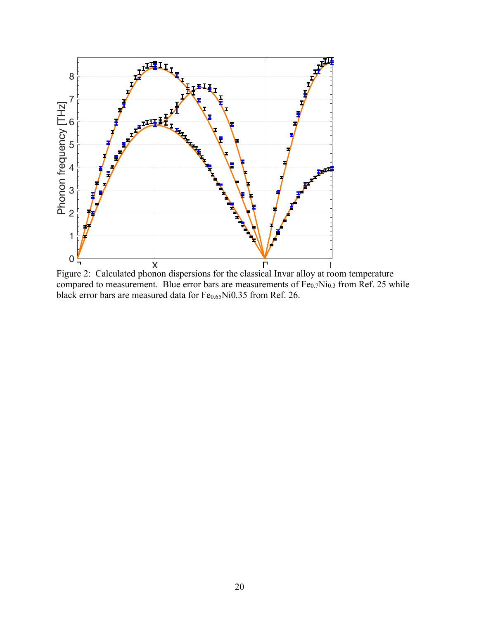

Figure 2: Calculated phonon dispersions for the classical Invar alloy at room temperature compared to measurement. Blue error bars are measurements of  $Fe_{0.7}Ni_{0.3}$  from Ref. 25 while black error bars are measured data for Fe<sub>0.65</sub>Ni0.35 from Ref. 26.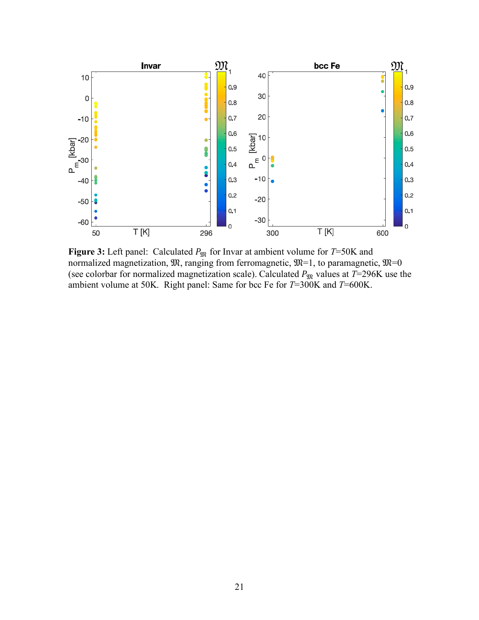

**Figure 3:** Left panel: Calculated  $P_{\text{M}}$  for Invar at ambient volume for  $T=50$ K and normalized magnetization,  $\mathfrak{M}$ , ranging from ferromagnetic,  $\mathfrak{M}=1$ , to paramagnetic,  $\mathfrak{M}=0$ (see colorbar for normalized magnetization scale). Calculated  $P_{\text{M}}$  values at  $T=296$ K use the ambient volume at 50K. Right panel: Same for bcc Fe for *T*=300K and *T*=600K.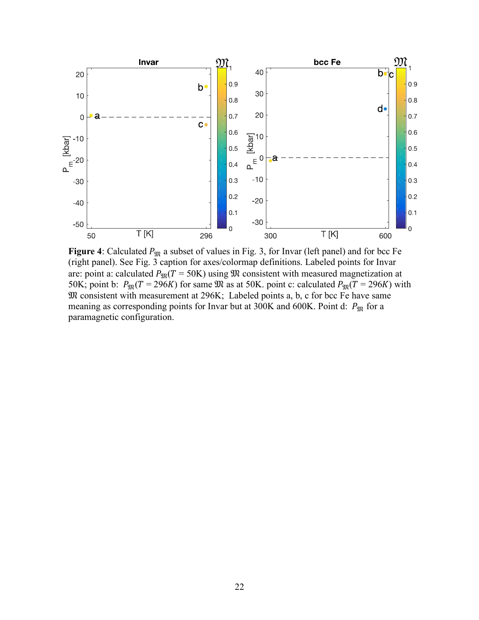

**Figure 4**: Calculated  $P_{\text{3D}}$  a subset of values in Fig. 3, for Invar (left panel) and for bcc Fe (right panel). See Fig. 3 caption for axes/colormap definitions. Labeled points for Invar are: point a: calculated  $P_{\text{M}}(T = 50 \text{K})$  using  $\text{M}$  consistent with measured magnetization at 50K; point b:  $P_{\text{TR}}(T = 296K)$  for same  $\Re$  as at 50K. point c: calculated  $P_{\text{TR}}(T = 296K)$  with  $\mathfrak M$  consistent with measurement at 296K; Labeled points a, b, c for bcc Fe have same meaning as corresponding points for Invar but at 300K and 600K. Point d:  $P_{\text{M}}$  for a paramagnetic configuration.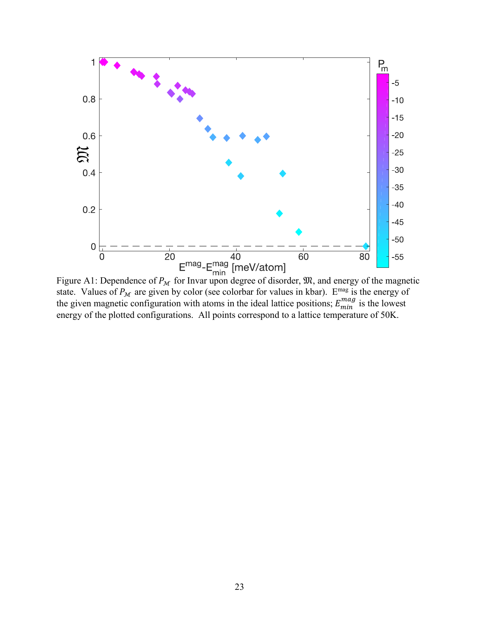

Figure A1: Dependence of  $P_{\mathcal{M}}$  for Invar upon degree of disorder,  $\mathfrak{M}$ , and energy of the magnetic state. Values of  $P_{\mathcal{M}}$  are given by color (see colorbar for values in kbar). E<sup>mag</sup> is the energy of the given magnetic configuration with atoms in the ideal lattice positions;  $E_{min}^{mag}$  is the lowest energy of the plotted configurations. All points correspond to a lattice temperature of 50K.